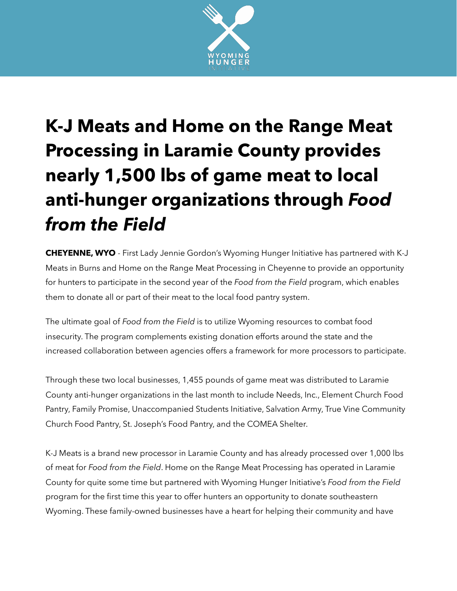

## **K-J Meats and Home on the Range Meat Processing in Laramie County provides nearly 1,500 lbs of game meat to local anti-hunger organizations through** *Food from the Field*

**CHEYENNE, WYO** - First Lady Jennie Gordon's Wyoming Hunger Initiative has partnered with K-J Meats in Burns and Home on the Range Meat Processing in Cheyenne to provide an opportunity for hunters to participate in the second year of the *Food from the Field* program, which enables them to donate all or part of their meat to the local food pantry system.

The ultimate goal of *Food from the Field* is to utilize Wyoming resources to combat food insecurity. The program complements existing donation efforts around the state and the increased collaboration between agencies offers a framework for more processors to participate.

Through these two local businesses, 1,455 pounds of game meat was distributed to Laramie County anti-hunger organizations in the last month to include Needs, Inc., Element Church Food Pantry, Family Promise, Unaccompanied Students Initiative, Salvation Army, True Vine Community Church Food Pantry, St. Joseph's Food Pantry, and the COMEA Shelter.

K-J Meats is a brand new processor in Laramie County and has already processed over 1,000 lbs of meat for *Food from the Field*. Home on the Range Meat Processing has operated in Laramie County for quite some time but partnered with Wyoming Hunger Initiative's *Food from the Field* program for the first time this year to offer hunters an opportunity to donate southeastern Wyoming. These family-owned businesses have a heart for helping their community and have